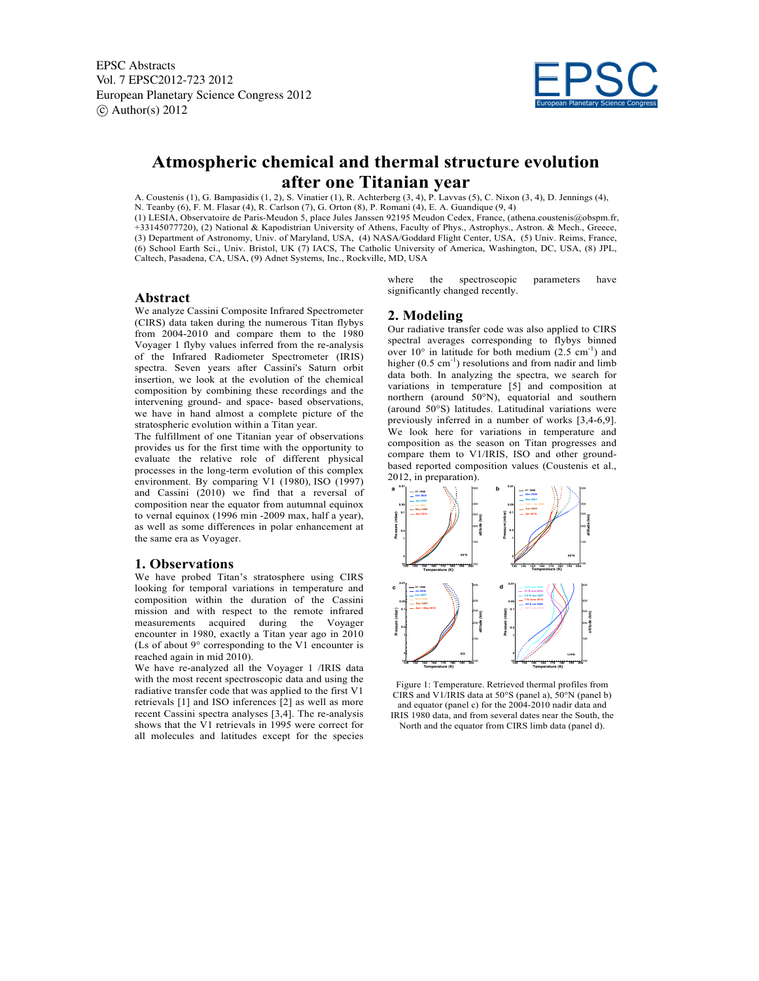EPSC Abstracts Vol. 7 EPSC2012-723 2012 European Planetary Science Congress 2012  $\circ$  Author(s) 2012



# **Atmospheric chemical and thermal structure evolution after one Titanian year**

A. Coustenis (1), G. Bampasidis (1, 2), S. Vinatier (1), R. Achterberg (3, 4), P. Lavvas (5), C. Nixon (3, 4), D. Jennings (4), N. Teanby (6), F. M. Flasar (4), R. Carlson (7), G. Orton (8), P. Romani (4), E. A. Guandique (9, 4) (1) LESIA, Observatoire de Paris-Meudon 5, place Jules Janssen 92195 Meudon Cedex, France, (athena.coustenis@obspm.fr, +33145077720), (2) National & Kapodistrian University of Athens, Faculty of Phys., Astrophys., Astron. & Mech., Greece, (3) Department of Astronomy, Univ. of Maryland, USA, (4) NASA/Goddard Flight Center, USA, (5) Univ. Reims, France, (6) School Earth Sci., Univ. Bristol, UK (7) IACS, The Catholic University of America, Washington, DC, USA, (8) JPL, Caltech, Pasadena, CA, USA, (9) Adnet Systems, Inc., Rockville, MD, USA

## **Abstract**

We analyze Cassini Composite Infrared Spectrometer (CIRS) data taken during the numerous Titan flybys from 2004-2010 and compare them to the 1980 Voyager 1 flyby values inferred from the re-analysis of the Infrared Radiometer Spectrometer (IRIS) spectra. Seven years after Cassini's Saturn orbit insertion, we look at the evolution of the chemical composition by combining these recordings and the intervening ground- and space- based observations, we have in hand almost a complete picture of the stratospheric evolution within a Titan year.

The fulfillment of one Titanian year of observations provides us for the first time with the opportunity to evaluate the relative role of different physical processes in the long-term evolution of this complex environment. By comparing V1 (1980), ISO (1997) and Cassini (2010) we find that a reversal of composition near the equator from autumnal equinox to vernal equinox (1996 min -2009 max, half a year), as well as some differences in polar enhancement at the same era as Voyager.

#### **1. Observations**

We have probed Titan's stratosphere using CIRS looking for temporal variations in temperature and composition within the duration of the Cassini mission and with respect to the remote infrared measurements acquired during the Voyager encounter in 1980, exactly a Titan year ago in 2010 (Ls of about 9° corresponding to the V1 encounter is reached again in mid 2010).

We have re-analyzed all the Voyager 1 /IRIS data with the most recent spectroscopic data and using the radiative transfer code that was applied to the first V1 retrievals [1] and ISO inferences [2] as well as more recent Cassini spectra analyses [3,4]. The re-analysis shows that the V1 retrievals in 1995 were correct for all molecules and latitudes except for the species where the spectroscopic parameters have significantly changed recently.

## **2. Modeling**

Our radiative transfer code was also applied to CIRS spectral averages corresponding to flybys binned over  $10^{\circ}$  in latitude for both medium  $(2.5 \text{ cm}^{-1})$  and higher (0.5 cm<sup>-1</sup>) resolutions and from nadir and limb data both. In analyzing the spectra, we search for variations in temperature [5] and composition at northern (around 50°N), equatorial and southern (around 50°S) latitudes. Latitudinal variations were previously inferred in a number of works [3,4-6,9]. We look here for variations in temperature and composition as the season on Titan progresses and compare them to V1/IRIS, ISO and other groundbased reported composition values (Coustenis et al., 2012, in preparation).



Figure 1: Temperature. Retrieved thermal profiles from CIRS and V1/IRIS data at 50°S (panel a), 50°N (panel b) and equator (panel c) for the 2004-2010 nadir data and IRIS 1980 data, and from several dates near the South, the North and the equator from CIRS limb data (panel d).